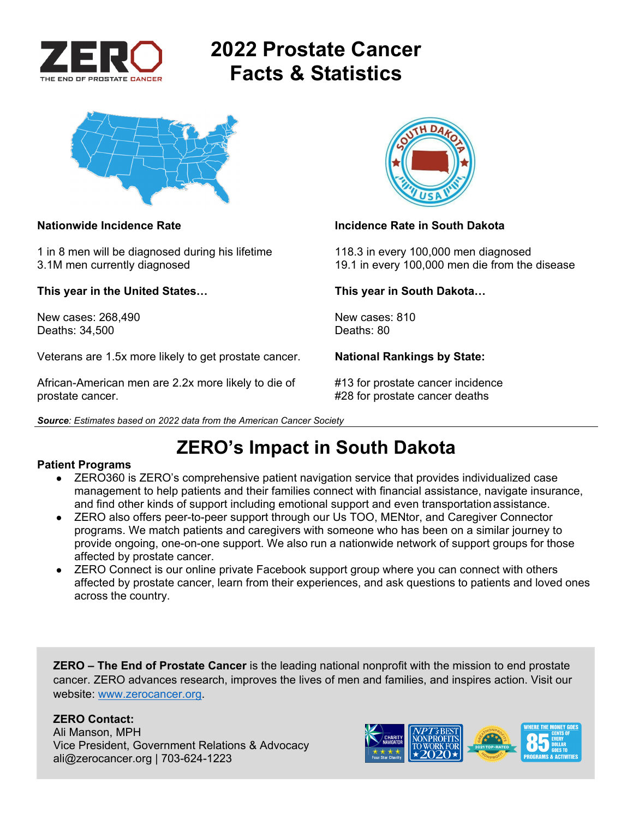

# **2022 Prostate Cancer Facts & Statistics**



1 in 8 men will be diagnosed during his lifetime 118.3 in every 100,000 men diagnosed

**This year in the United States… This year in South Dakota…** 

New cases: 268,490 New cases: 810 Deaths: 34,500 Deaths: 80

Veterans are 1.5x more likely to get prostate cancer. **National Rankings by State:** 

African-American men are 2.2x more likely to die of #13 for prostate cancer incidence prostate cancer. #28 for prostate cancer deaths





### **Nationwide Incidence Rate Incidence Rate in South Dakota**

3.1M men currently diagnosed 19.1 in every 100,000 men die from the disease

## **ZERO's Impact in South Dakota**

### **Patient Programs**

- ZERO360 is ZERO's comprehensive patient navigation service that provides individualized case management to help patients and their families connect with financial assistance, navigate insurance, and find other kinds of support including emotional support and even transportation assistance.
- ZERO also offers peer-to-peer support through our Us TOO, MENtor, and Caregiver Connector programs. We match patients and caregivers with someone who has been on a similar journey to provide ongoing, one-on-one support. We also run a nationwide network of support groups for those affected by prostate cancer.
- ZERO Connect is our online private Facebook support group where you can connect with others affected by prostate cancer, learn from their experiences, and ask questions to patients and loved ones across the country.

**ZERO – The End of Prostate Cancer** is the leading national nonprofit with the mission to end prostate cancer. ZERO advances research, improves the lives of men and families, and inspires action. Visit our website: www.zerocancer.org.

### **ZERO Contact:**

Ali Manson, MPH Vice President, Government Relations & Advocacy ali@zerocancer.org | 703-624-1223